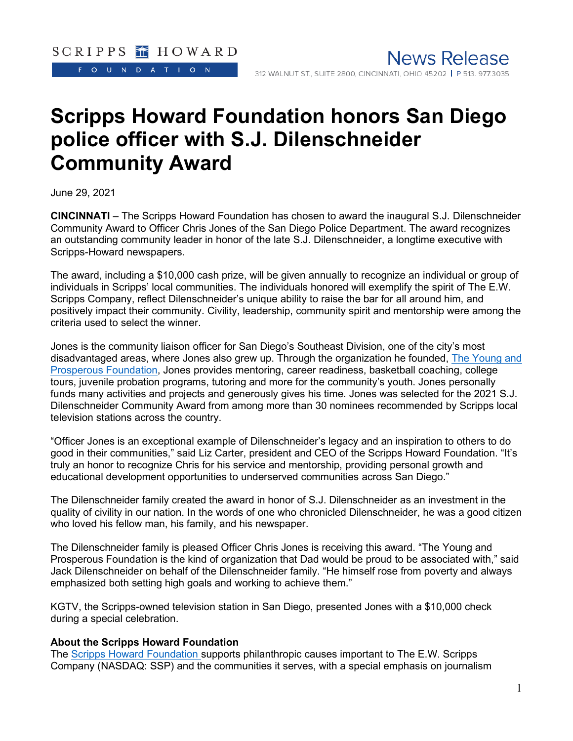FOUNDATION

# **Scripps Howard Foundation honors San Diego police officer with S.J. Dilenschneider Community Award**

June 29, 2021

**CINCINNATI** – The Scripps Howard Foundation has chosen to award the inaugural S.J. Dilenschneider Community Award to Officer Chris Jones of the San Diego Police Department. The award recognizes an outstanding community leader in honor of the late S.J. Dilenschneider, a longtime executive with Scripps-Howard newspapers.

The award, including a \$10,000 cash prize, will be given annually to recognize an individual or group of individuals in Scripps' local communities. The individuals honored will exemplify the spirit of The E.W. Scripps Company, reflect Dilenschneider's unique ability to raise the bar for all around him, and positively impact their community. Civility, leadership, community spirit and mentorship were among the criteria used to select the winner.

Jones is the community liaison officer for San Diego's Southeast Division, one of the city's most disadvantaged areas, where Jones also grew up. Through the organization he founded, [The Young and](https://youngandprosperous.org/)  [Prosperous Foundation,](https://youngandprosperous.org/) Jones provides mentoring, career readiness, basketball coaching, college tours, juvenile probation programs, tutoring and more for the community's youth. Jones personally funds many activities and projects and generously gives his time. Jones was selected for the 2021 S.J. Dilenschneider Community Award from among more than 30 nominees recommended by Scripps local television stations across the country.

"Officer Jones is an exceptional example of Dilenschneider's legacy and an inspiration to others to do good in their communities," said Liz Carter, president and CEO of the Scripps Howard Foundation. "It's truly an honor to recognize Chris for his service and mentorship, providing personal growth and educational development opportunities to underserved communities across San Diego."

The Dilenschneider family created the award in honor of S.J. Dilenschneider as an investment in the quality of civility in our nation. In the words of one who chronicled Dilenschneider, he was a good citizen who loved his fellow man, his family, and his newspaper.

The Dilenschneider family is pleased Officer Chris Jones is receiving this award. "The Young and Prosperous Foundation is the kind of organization that Dad would be proud to be associated with," said Jack Dilenschneider on behalf of the Dilenschneider family. "He himself rose from poverty and always emphasized both setting high goals and working to achieve them."

KGTV, the Scripps-owned television station in San Diego, presented Jones with a \$10,000 check during a special celebration.

#### **About the Scripps Howard Foundation**

The [Scripps Howard Foundation](https://www.scripps.com/foundation) supports philanthropic causes important to The E.W. Scripps Company (NASDAQ: SSP) and the communities it serves, with a special emphasis on journalism